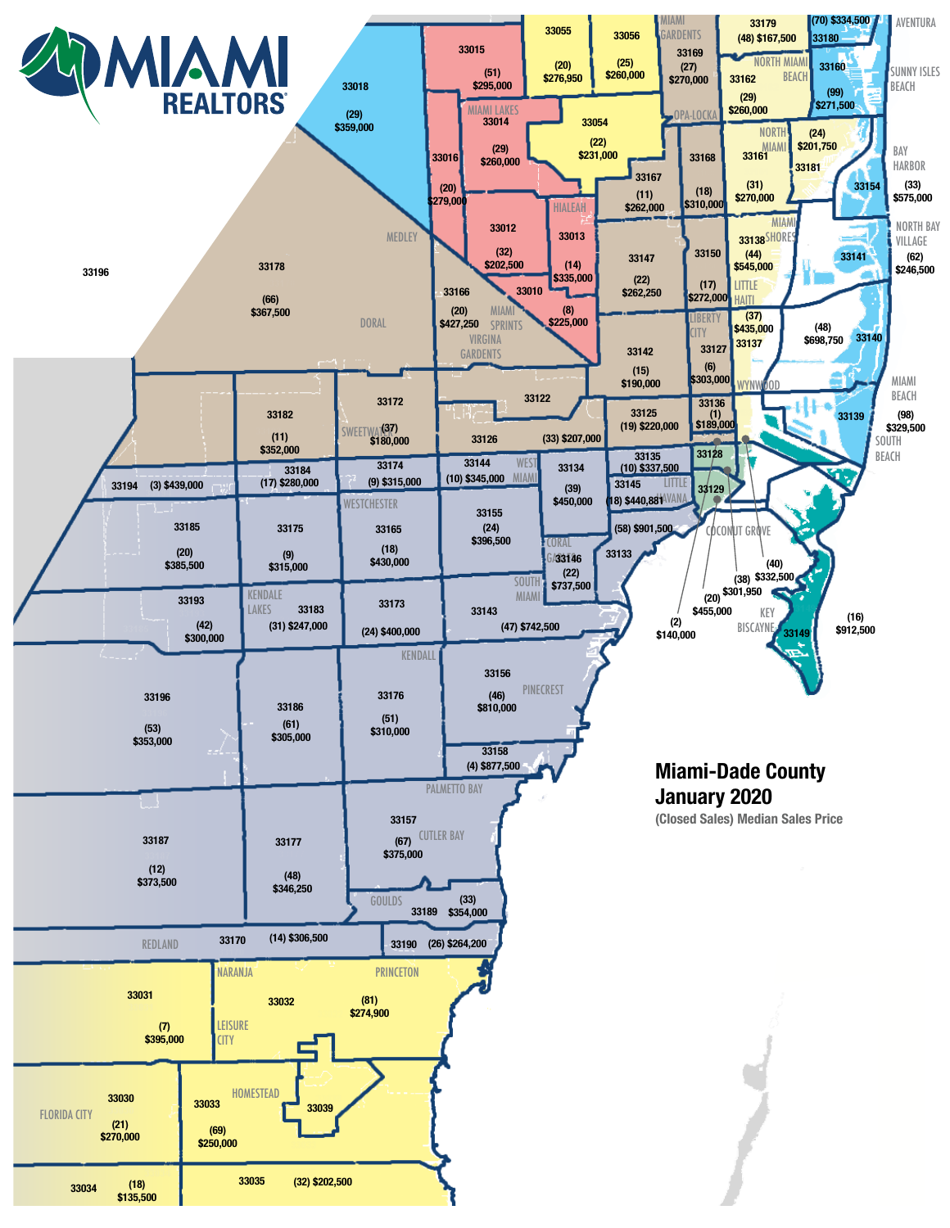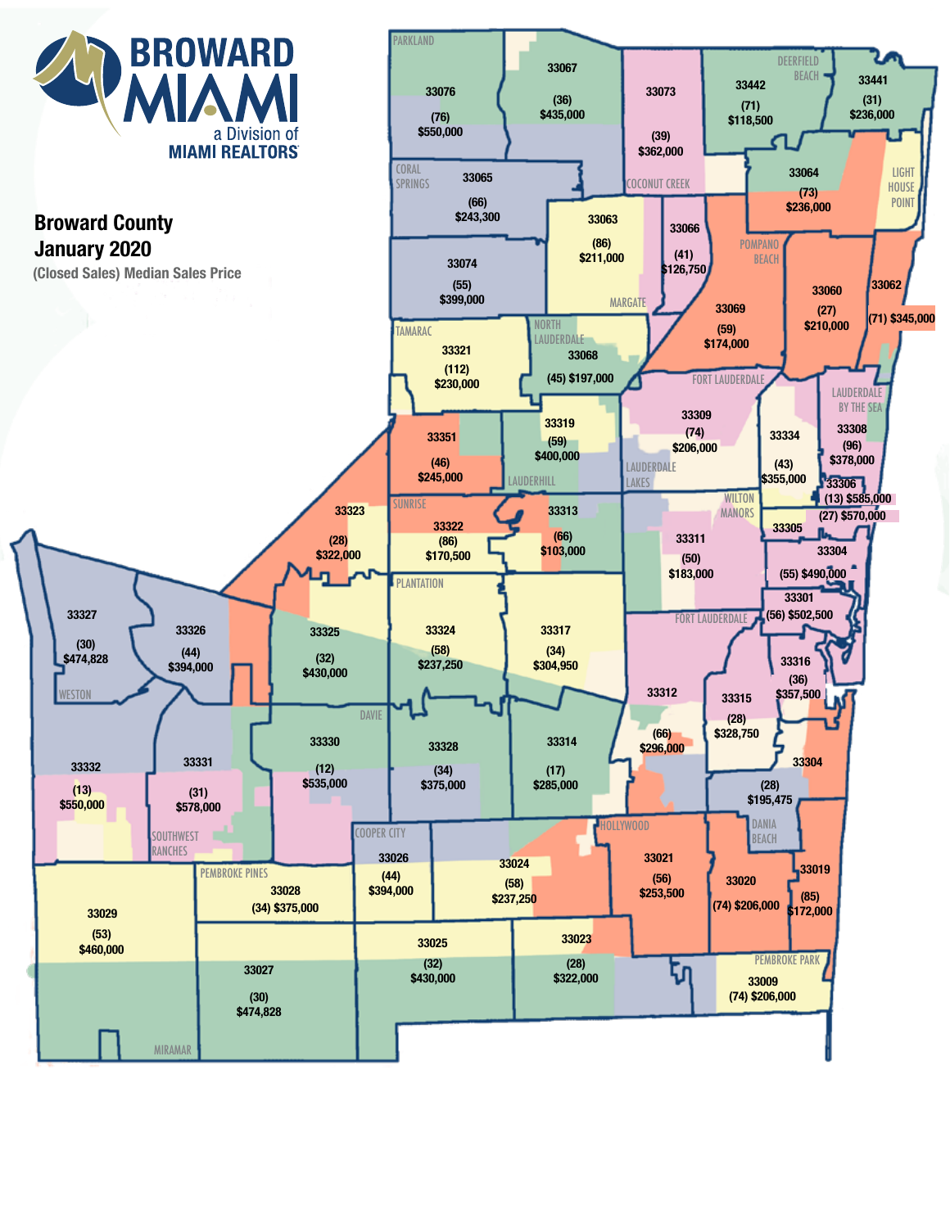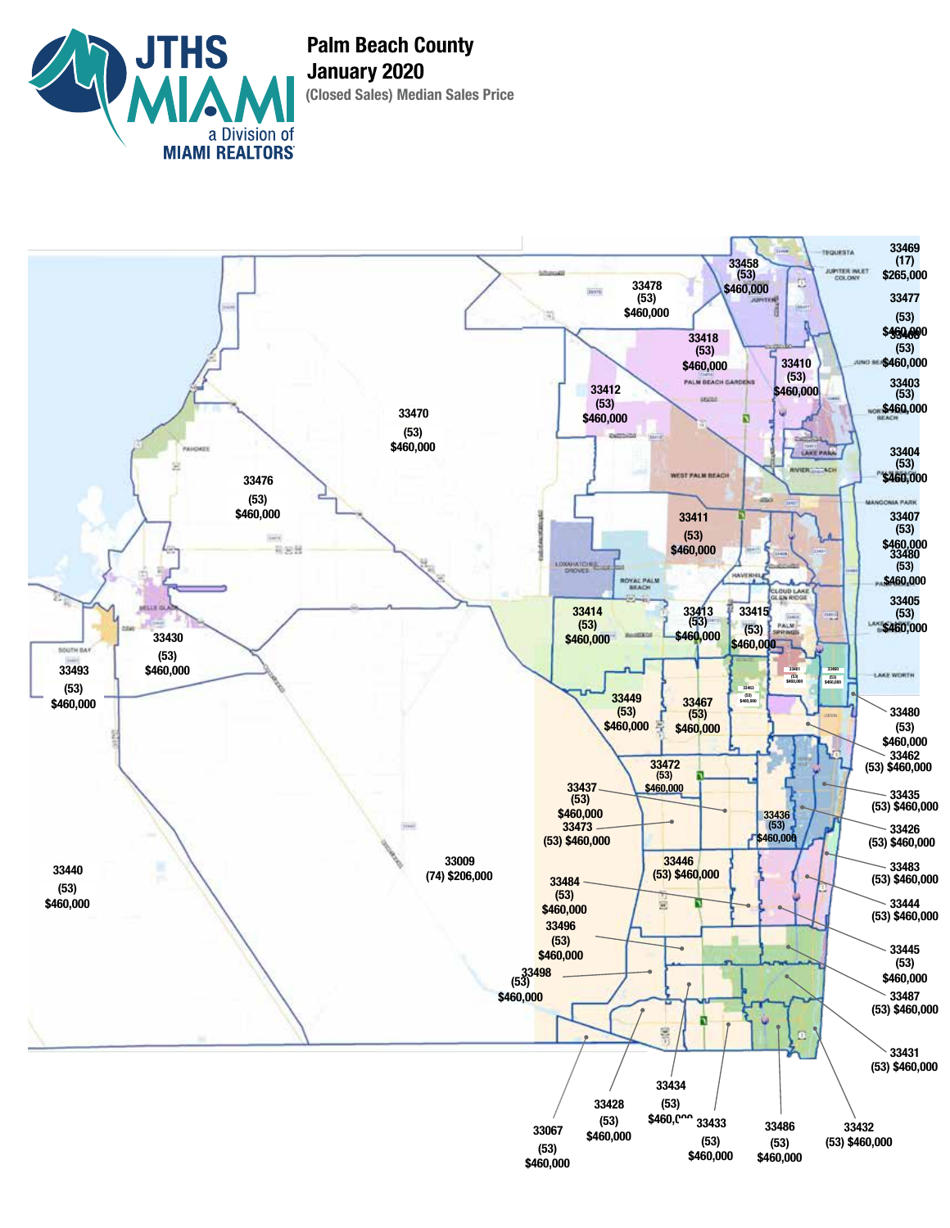

**(Closed Sales) Median Sales Price Palm Beach County January 2020**